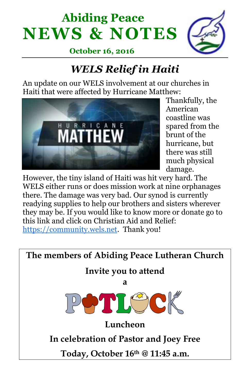# **Abiding Peace NEWS & NOTES**



 **October 16, 2016**

# *WELS Relief in Haiti*

An update on our WELS involvement at our churches in Haiti that were affected by Hurricane Matthew:



Thankfully, the American coastline was spared from the brunt of the hurricane, but there was still much physical damage.

However, the tiny island of Haiti was hit very hard. The WELS either runs or does mission work at nine orphanages there. The damage was very bad. Our synod is currently readying supplies to help our brothers and sisters wherever they may be. If you would like to know more or donate go to this link and click on Christian Aid and Relief: [https://community.wels.net.](https://community.wels.net/) Thank you!

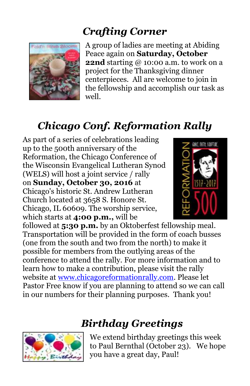### *Crafting Corner*



A group of ladies are meeting at Abiding Peace again on **Saturday, October 22nd** starting @ 10:00 a.m. to work on a project for the Thanksgiving dinner centerpieces. All are welcome to join in the fellowship and accomplish our task as well.

# *Chicago Conf. Reformation Rally*

As part of a series of celebrations leading up to the 500th anniversary of the Reformation, the Chicago Conference of the Wisconsin Evangelical Lutheran Synod (WELS) will host a joint service / rally on **Sunday, October 30, 2016** at Chicago's historic St. Andrew Lutheran Church located at 3658 S. Honore St. Chicago, IL 60609. The worship service, which starts at **4:00 p.m.,** will be



followed at **5:30 p.m.** by an Oktoberfest fellowship meal. Transportation will be provided in the form of coach busses (one from the south and two from the north) to make it possible for members from the outlying areas of the conference to attend the rally. For more information and to learn how to make a contribution, please visit the rally website at [www.chicagoreformationrally.com.](http://newlife-wels.us2.list-manage2.com/track/click?u=2652fb7e265de6ef7aa731a6d&id=ced447d1da&e=fb6ae4dd81) Please let Pastor Free know if you are planning to attend so we can call in our numbers for their planning purposes. Thank you!

## *Birthday Greetings*



We extend birthday greetings this week to Paul Bernthal (October 23). We hope you have a great day, Paul!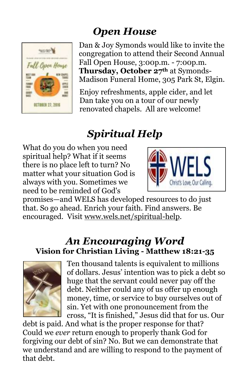# *Open House*



Dan & Joy Symonds would like to invite the congregation to attend their Second Annual Fall Open House, 3:00p.m. - 7:00p.m. **Thursday, October 27th** at Symonds-Madison Funeral Home, 305 Park St, Elgin.

Enjoy refreshments, apple cider, and let Dan take you on a tour of our newly renovated chapels. All are welcome!

# *Spiritual Help*

What do you do when you need spiritual help? What if it seems there is no place left to turn? No matter what your situation God is always with you. Sometimes we need to be reminded of God's



promises—and WELS has developed resources to do just that. So go ahead. Enrich your faith. Find answers. Be encouraged. Visit www.wels.net/spiritual-help.

#### *An Encouraging Word* **Vision for Christian Living - Matthew 18:21-35**



Ten thousand talents is equivalent to millions of dollars. Jesus' intention was to pick a debt so huge that the servant could never pay off the debt. Neither could any of us offer up enough money, time, or service to buy ourselves out of sin. Yet with one pronouncement from the cross, "It is finished," Jesus did that for us. Our

debt is paid. And what is the proper response for that? Could we *ever* return enough to properly thank God for forgiving our debt of sin? No. But we can demonstrate that we understand and are willing to respond to the payment of that debt.